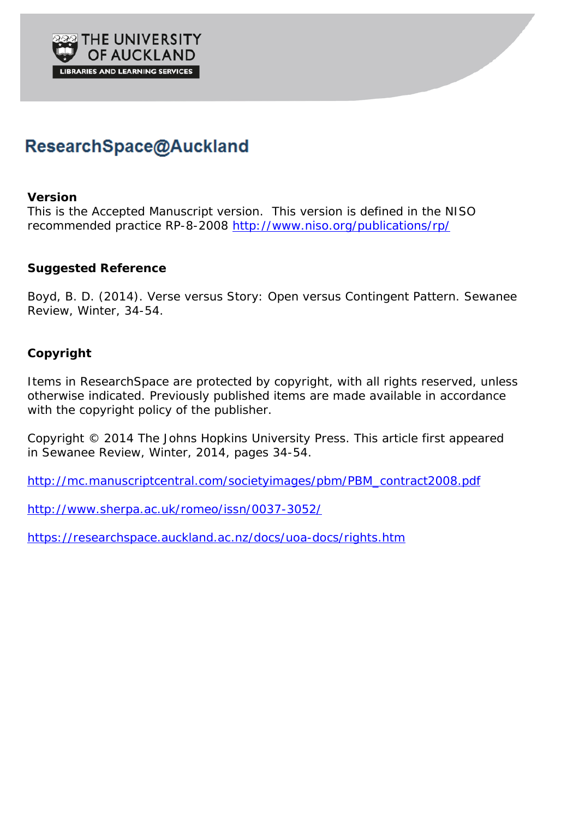

# ResearchSpace@Auckland

#### **Version**

This is the Accepted Manuscript version. This version is defined in the NISO recommended practice RP-8-2008<http://www.niso.org/publications/rp/>

### **Suggested Reference**

Boyd, B. D. (2014). Verse versus Story: Open versus Contingent Pattern. *Sewanee Review*, Winter, 34-54.

## **Copyright**

Items in ResearchSpace are protected by copyright, with all rights reserved, unless otherwise indicated. Previously published items are made available in accordance with the copyright policy of the publisher.

Copyright © 2014 The Johns Hopkins University Press. This article first appeared in *Sewanee Review*, Winter, 2014, pages 34-54.

[http://mc.manuscriptcentral.com/societyimages/pbm/PBM\\_contract2008.pdf](http://mc.manuscriptcentral.com/societyimages/pbm/PBM_contract2008.pdf)

<http://www.sherpa.ac.uk/romeo/issn/0037-3052/>

<https://researchspace.auckland.ac.nz/docs/uoa-docs/rights.htm>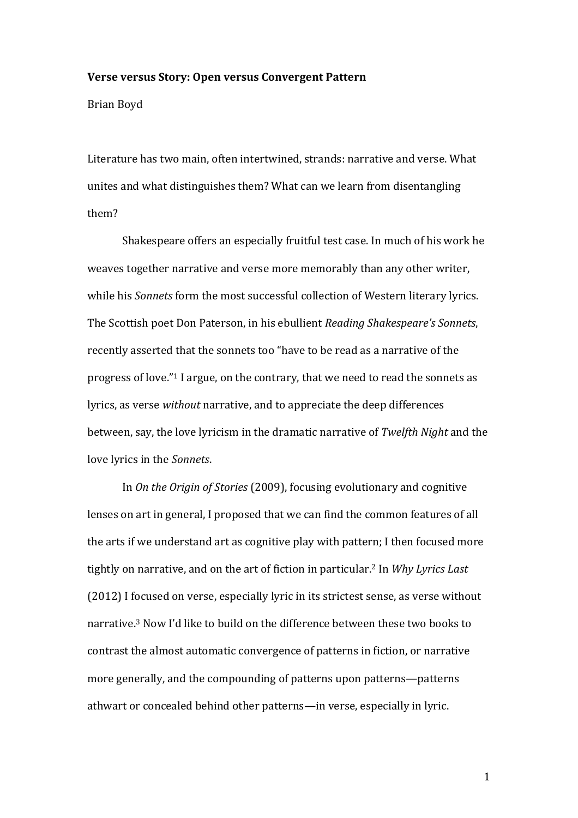#### **Verse versus Story: Open versus Convergent Pattern**

Brian Boyd

Literature has two main, often intertwined, strands: narrative and verse. What unites and what distinguishes them? What can we learn from disentangling them?

Shakespeare offers an especially fruitful test case. In much of his work he weaves together narrative and verse more memorably than any other writer, while his *Sonnets* form the most successful collection of Western literary lyrics. The Scottish poet Don Paterson, in his ebullient *Reading Shakespeare's Sonnets*, recently asserted that the sonnets too "have to be read as a narrative of the progress of love."<sup>1</sup> I argue, on the contrary, that we need to read the sonnets as lyrics, as verse *without* narrative, and to appreciate the deep differences between, say, the love lyricism in the dramatic narrative of *Twelfth Night* and the love lyrics in the *Sonnets*.

In *On the Origin of Stories* (2009), focusing evolutionary and cognitive lenses on art in general, I proposed that we can find the common features of all the arts if we understand art as cognitive play with pattern; I then focused more tightly on narrative, and on the art of fiction in particular.<sup>2</sup> In *Why Lyrics Last* (2012) I focused on verse, especially lyric in its strictest sense, as verse without narrative.<sup>3</sup> Now I'd like to build on the difference between these two books to contrast the almost automatic convergence of patterns in fiction, or narrative more generally, and the compounding of patterns upon patterns—patterns athwart or concealed behind other patterns—in verse, especially in lyric.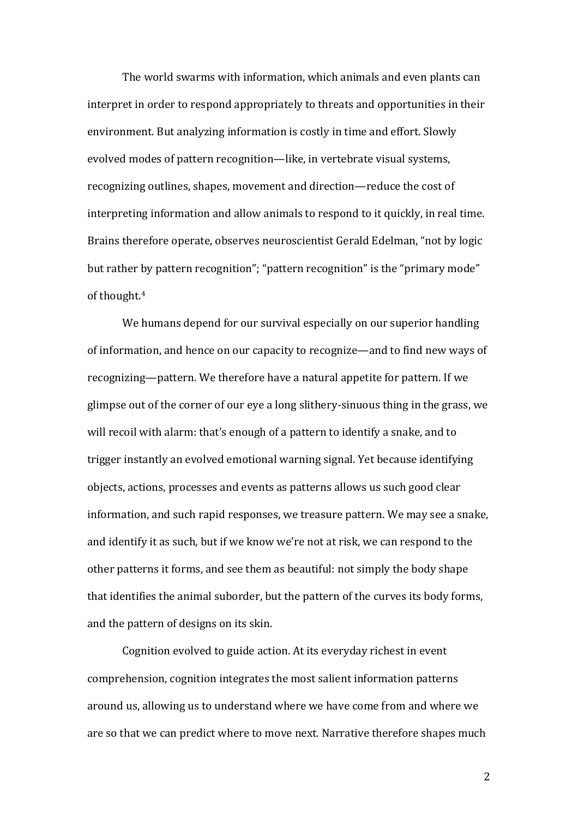The world swarms with information, which animals and even plants can interpret in order to respond appropriately to threats and opportunities in their environment. But analyzing information is costly in time and effort. Slowly evolved modes of pattern recognition—like, in vertebrate visual systems, recognizing outlines, shapes, movement and direction—reduce the cost of interpreting information and allow animals to respond to it quickly, in real time. Brains therefore operate, observes neuroscientist Gerald Edelman, "not by logic but rather by pattern recognition"; "pattern recognition" is the "primary mode" of thought.<sup>4</sup>

We humans depend for our survival especially on our superior handling of information, and hence on our capacity to recognize—and to find new ways of recognizing—pattern. We therefore have a natural appetite for pattern. If we glimpse out of the corner of our eye a long slithery-sinuous thing in the grass, we will recoil with alarm: that's enough of a pattern to identify a snake, and to trigger instantly an evolved emotional warning signal. Yet because identifying objects, actions, processes and events as patterns allows us such good clear information, and such rapid responses, we treasure pattern. We may see a snake, and identify it as such, but if we know we're not at risk, we can respond to the other patterns it forms, and see them as beautiful: not simply the body shape that identifies the animal suborder, but the pattern of the curves its body forms, and the pattern of designs on its skin.

Cognition evolved to guide action. At its everyday richest in event comprehension, cognition integrates the most salient information patterns around us, allowing us to understand where we have come from and where we are so that we can predict where to move next. Narrative therefore shapes much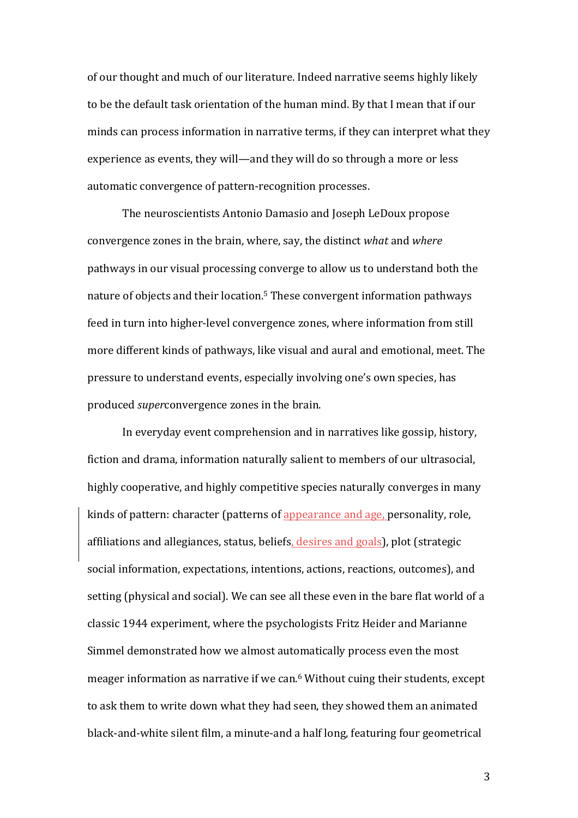of our thought and much of our literature. Indeed narrative seems highly likely to be the default task orientation of the human mind. By that I mean that if our minds can process information in narrative terms, if they can interpret what they experience as events, they will—and they will do so through a more or less automatic convergence of pattern-recognition processes.

The neuroscientists Antonio Damasio and Joseph LeDoux propose convergence zones in the brain, where, say, the distinct *what* and *where* pathways in our visual processing converge to allow us to understand both the nature of objects and their location.<sup>5</sup> These convergent information pathways feed in turn into higher-level convergence zones, where information from still more different kinds of pathways, like visual and aural and emotional, meet. The pressure to understand events, especially involving one's own species, has produced *super*convergence zones in the brain.

In everyday event comprehension and in narratives like gossip, history, fiction and drama, information naturally salient to members of our ultrasocial, highly cooperative, and highly competitive species naturally converges in many kinds of pattern: character (patterns of appearance and age, personality, role, affiliations and allegiances, status, beliefs, desires and goals), plot (strategic social information, expectations, intentions, actions, reactions, outcomes), and setting (physical and social). We can see all these even in the bare flat world of a classic 1944 experiment, where the psychologists Fritz Heider and Marianne Simmel demonstrated how we almost automatically process even the most meager information as narrative if we can. $6$  Without cuing their students, except to ask them to write down what they had seen, they showed them an animated black-and-white silent film, a minute-and a half long, featuring four geometrical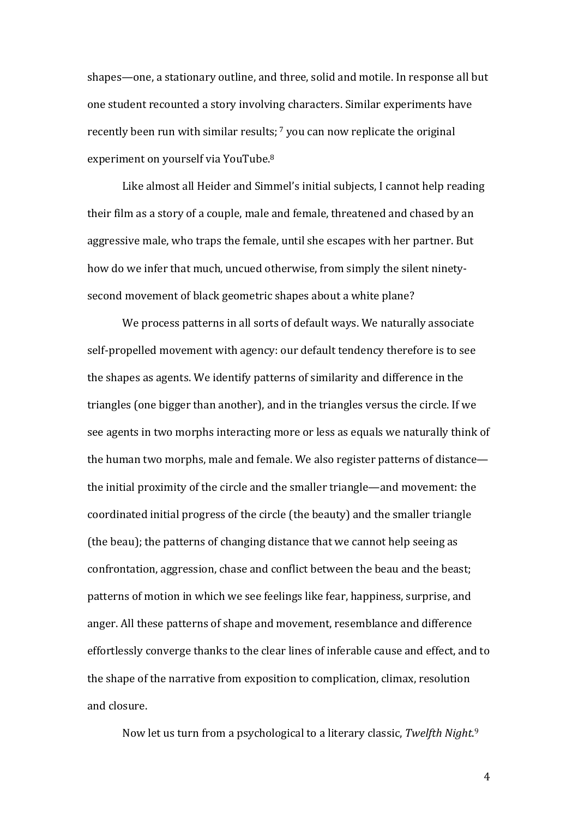shapes—one, a stationary outline, and three, solid and motile. In response all but one student recounted a story involving characters. Similar experiments have recently been run with similar results;  $\frac{7}{1}$  you can now replicate the original experiment on yourself via YouTube.<sup>8</sup>

Like almost all Heider and Simmel's initial subjects, I cannot help reading their film as a story of a couple, male and female, threatened and chased by an aggressive male, who traps the female, until she escapes with her partner. But how do we infer that much, uncued otherwise, from simply the silent ninetysecond movement of black geometric shapes about a white plane?

We process patterns in all sorts of default ways. We naturally associate self-propelled movement with agency: our default tendency therefore is to see the shapes as agents. We identify patterns of similarity and difference in the triangles (one bigger than another), and in the triangles versus the circle. If we see agents in two morphs interacting more or less as equals we naturally think of the human two morphs, male and female. We also register patterns of distance the initial proximity of the circle and the smaller triangle—and movement: the coordinated initial progress of the circle (the beauty) and the smaller triangle (the beau); the patterns of changing distance that we cannot help seeing as confrontation, aggression, chase and conflict between the beau and the beast; patterns of motion in which we see feelings like fear, happiness, surprise, and anger. All these patterns of shape and movement, resemblance and difference effortlessly converge thanks to the clear lines of inferable cause and effect, and to the shape of the narrative from exposition to complication, climax, resolution and closure.

Now let us turn from a psychological to a literary classic, *Twelfth Night*.<sup>9</sup>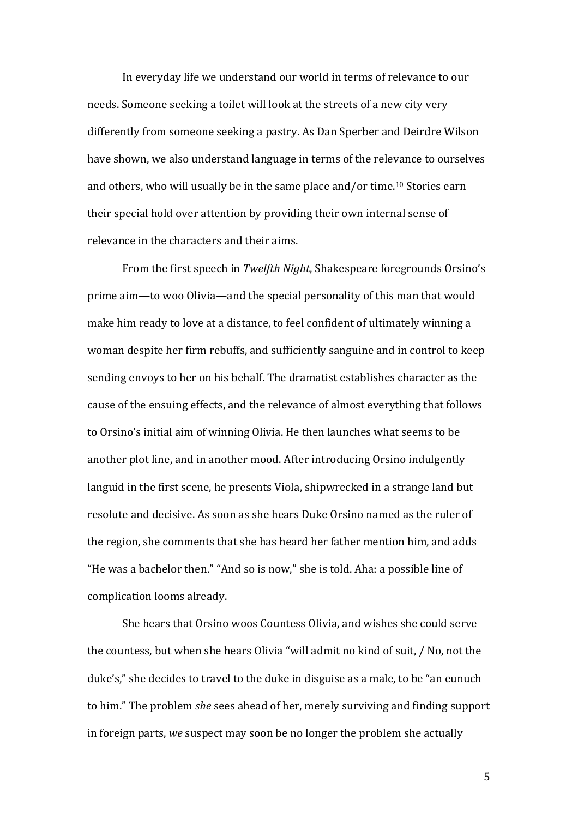In everyday life we understand our world in terms of relevance to our needs. Someone seeking a toilet will look at the streets of a new city very differently from someone seeking a pastry. As Dan Sperber and Deirdre Wilson have shown, we also understand language in terms of the relevance to ourselves and others, who will usually be in the same place and/or time.<sup>10</sup> Stories earn their special hold over attention by providing their own internal sense of relevance in the characters and their aims.

From the first speech in *Twelfth Night*, Shakespeare foregrounds Orsino's prime aim—to woo Olivia—and the special personality of this man that would make him ready to love at a distance, to feel confident of ultimately winning a woman despite her firm rebuffs, and sufficiently sanguine and in control to keep sending envoys to her on his behalf. The dramatist establishes character as the cause of the ensuing effects, and the relevance of almost everything that follows to Orsino's initial aim of winning Olivia. He then launches what seems to be another plot line, and in another mood. After introducing Orsino indulgently languid in the first scene, he presents Viola, shipwrecked in a strange land but resolute and decisive. As soon as she hears Duke Orsino named as the ruler of the region, she comments that she has heard her father mention him, and adds "He was a bachelor then." "And so is now." she is told. Aha: a possible line of complication looms already.

She hears that Orsino woos Countess Olivia, and wishes she could serve the countess, but when she hears Olivia "will admit no kind of suit, / No, not the duke's," she decides to travel to the duke in disguise as a male, to be "an eunuch to him." The problem *she* sees ahead of her, merely surviving and finding support in foreign parts, *we* suspect may soon be no longer the problem she actually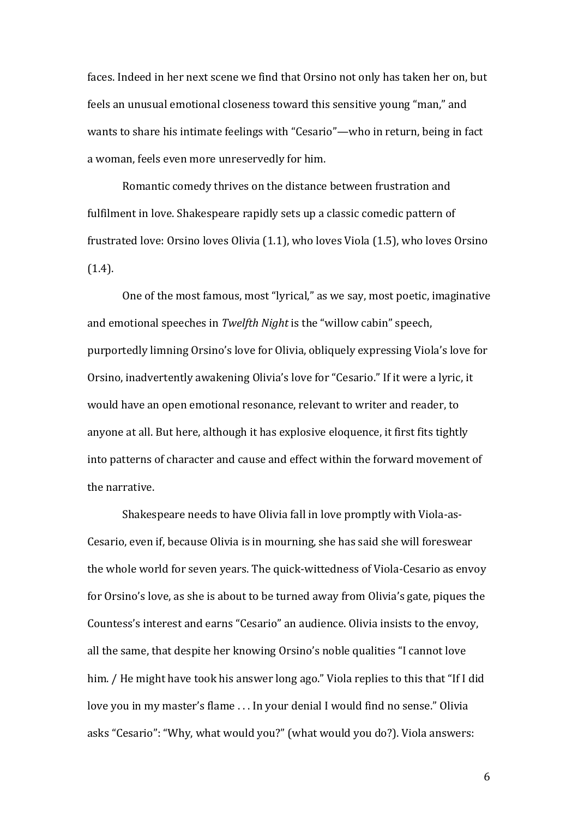faces. Indeed in her next scene we find that Orsino not only has taken her on, but feels an unusual emotional closeness toward this sensitive young "man," and wants to share his intimate feelings with "Cesario"—who in return, being in fact a woman, feels even more unreservedly for him.

Romantic comedy thrives on the distance between frustration and fulfilment in love. Shakespeare rapidly sets up a classic comedic pattern of frustrated love: Orsino loves Olivia (1.1), who loves Viola (1.5), who loves Orsino (1.4). 

One of the most famous, most "lyrical," as we say, most poetic, imaginative and emotional speeches in *Twelfth Night* is the "willow cabin" speech, purportedly limning Orsino's love for Olivia, obliquely expressing Viola's love for Orsino, inadvertently awakening Olivia's love for "Cesario." If it were a lyric, it would have an open emotional resonance, relevant to writer and reader, to anyone at all. But here, although it has explosive eloquence, it first fits tightly into patterns of character and cause and effect within the forward movement of the narrative.

Shakespeare needs to have Olivia fall in love promptly with Viola-as-Cesario, even if, because Olivia is in mourning, she has said she will foreswear the whole world for seven years. The quick-wittedness of Viola-Cesario as envoy for Orsino's love, as she is about to be turned away from Olivia's gate, piques the Countess's interest and earns "Cesario" an audience. Olivia insists to the envoy, all the same, that despite her knowing Orsino's noble qualities "I cannot love him. / He might have took his answer long ago." Viola replies to this that "If I did love you in my master's flame ... In your denial I would find no sense." Olivia asks "Cesario": "Why, what would you?" (what would you do?). Viola answers: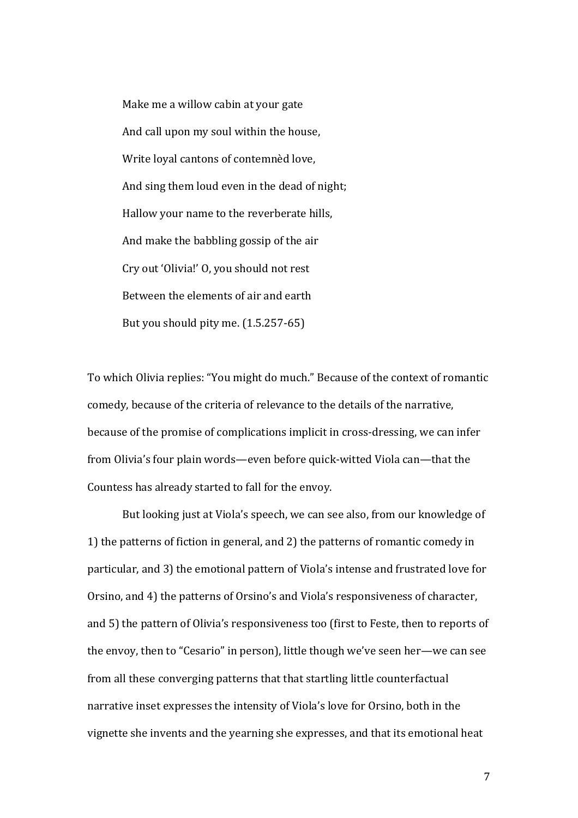Make me a willow cabin at your gate And call upon my soul within the house, Write loyal cantons of contemnèd love, And sing them loud even in the dead of night; Hallow your name to the reverberate hills, And make the babbling gossip of the air Cry out 'Olivia!' O, you should not rest Between the elements of air and earth But you should pity me.  $(1.5.257-65)$ 

To which Olivia replies: "You might do much." Because of the context of romantic comedy, because of the criteria of relevance to the details of the narrative, because of the promise of complications implicit in cross-dressing, we can infer from Olivia's four plain words—even before quick-witted Viola can—that the Countess has already started to fall for the envoy.

But looking just at Viola's speech, we can see also, from our knowledge of 1) the patterns of fiction in general, and 2) the patterns of romantic comedy in particular, and 3) the emotional pattern of Viola's intense and frustrated love for Orsino, and 4) the patterns of Orsino's and Viola's responsiveness of character, and 5) the pattern of Olivia's responsiveness too (first to Feste, then to reports of the envoy, then to "Cesario" in person), little though we've seen her—we can see from all these converging patterns that that startling little counterfactual narrative inset expresses the intensity of Viola's love for Orsino, both in the vignette she invents and the yearning she expresses, and that its emotional heat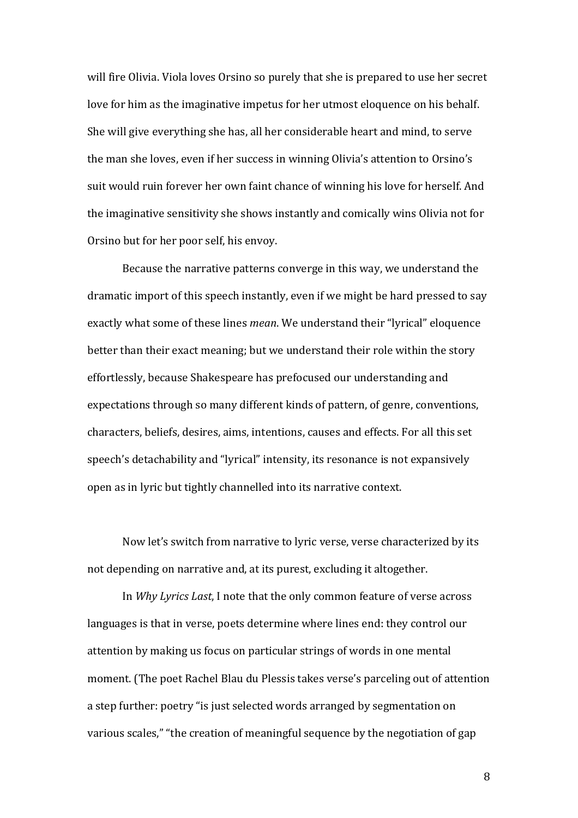will fire Olivia. Viola loves Orsino so purely that she is prepared to use her secret love for him as the imaginative impetus for her utmost eloquence on his behalf. She will give everything she has, all her considerable heart and mind, to serve the man she loves, even if her success in winning Olivia's attention to Orsino's suit would ruin forever her own faint chance of winning his love for herself. And the imaginative sensitivity she shows instantly and comically wins Olivia not for Orsino but for her poor self, his envoy.

Because the narrative patterns converge in this way, we understand the dramatic import of this speech instantly, even if we might be hard pressed to say exactly what some of these lines *mean*. We understand their "lyrical" eloquence better than their exact meaning; but we understand their role within the story effortlessly, because Shakespeare has prefocused our understanding and expectations through so many different kinds of pattern, of genre, conventions, characters, beliefs, desires, aims, intentions, causes and effects. For all this set speech's detachability and "lyrical" intensity, its resonance is not expansively open as in lyric but tightly channelled into its narrative context.

Now let's switch from narrative to lyric verse, verse characterized by its not depending on narrative and, at its purest, excluding it altogether.

In *Why Lyrics Last*, I note that the only common feature of verse across languages is that in verse, poets determine where lines end: they control our attention by making us focus on particular strings of words in one mental moment. (The poet Rachel Blau du Plessis takes verse's parceling out of attention a step further: poetry "is just selected words arranged by segmentation on various scales," "the creation of meaningful sequence by the negotiation of gap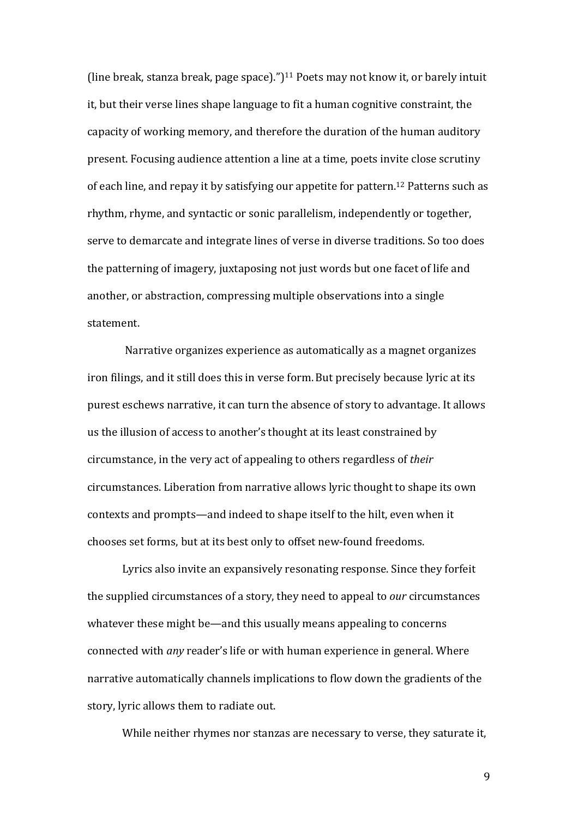(line break, stanza break, page space).")<sup>11</sup> Poets may not know it, or barely intuit it, but their verse lines shape language to fit a human cognitive constraint, the capacity of working memory, and therefore the duration of the human auditory present. Focusing audience attention a line at a time, poets invite close scrutiny of each line, and repay it by satisfying our appetite for pattern.<sup>12</sup> Patterns such as rhythm, rhyme, and syntactic or sonic parallelism, independently or together, serve to demarcate and integrate lines of verse in diverse traditions. So too does the patterning of imagery, juxtaposing not just words but one facet of life and another, or abstraction, compressing multiple observations into a single statement.

Narrative organizes experience as automatically as a magnet organizes iron filings, and it still does this in verse form. But precisely because lyric at its purest eschews narrative, it can turn the absence of story to advantage. It allows us the illusion of access to another's thought at its least constrained by circumstance, in the very act of appealing to others regardless of *their* circumstances. Liberation from narrative allows lyric thought to shape its own contexts and prompts—and indeed to shape itself to the hilt, even when it chooses set forms, but at its best only to offset new-found freedoms.

Lyrics also invite an expansively resonating response. Since they forfeit the supplied circumstances of a story, they need to appeal to *our* circumstances whatever these might be—and this usually means appealing to concerns connected with *any* reader's life or with human experience in general. Where narrative automatically channels implications to flow down the gradients of the story, lyric allows them to radiate out.

While neither rhymes nor stanzas are necessary to verse, they saturate it,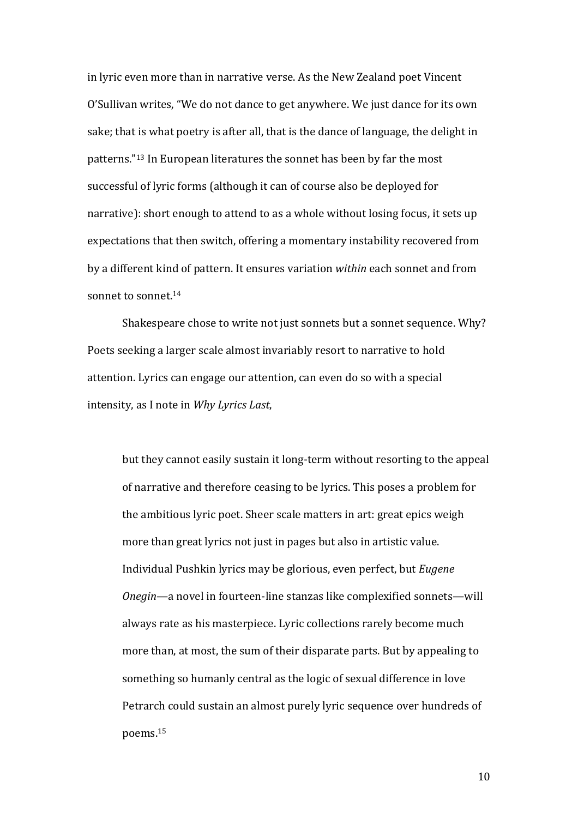in lyric even more than in narrative verse. As the New Zealand poet Vincent O'Sullivan writes, "We do not dance to get anywhere. We just dance for its own sake; that is what poetry is after all, that is the dance of language, the delight in patterns."<sup>13</sup> In European literatures the sonnet has been by far the most successful of lyric forms (although it can of course also be deployed for narrative): short enough to attend to as a whole without losing focus, it sets up expectations that then switch, offering a momentary instability recovered from by a different kind of pattern. It ensures variation within each sonnet and from sonnet to sonnet  $14$ 

Shakespeare chose to write not just sonnets but a sonnet sequence. Why? Poets seeking a larger scale almost invariably resort to narrative to hold attention. Lyrics can engage our attention, can even do so with a special intensity, as I note in *Why Lyrics Last*,

but they cannot easily sustain it long-term without resorting to the appeal of narrative and therefore ceasing to be lyrics. This poses a problem for the ambitious lyric poet. Sheer scale matters in art: great epics weigh more than great lyrics not just in pages but also in artistic value. Individual Pushkin lyrics may be glorious, even perfect, but *Eugene Onegin*—a novel in fourteen-line stanzas like complexified sonnets—will always rate as his masterpiece. Lyric collections rarely become much more than, at most, the sum of their disparate parts. But by appealing to something so humanly central as the logic of sexual difference in love Petrarch could sustain an almost purely lyric sequence over hundreds of poems.15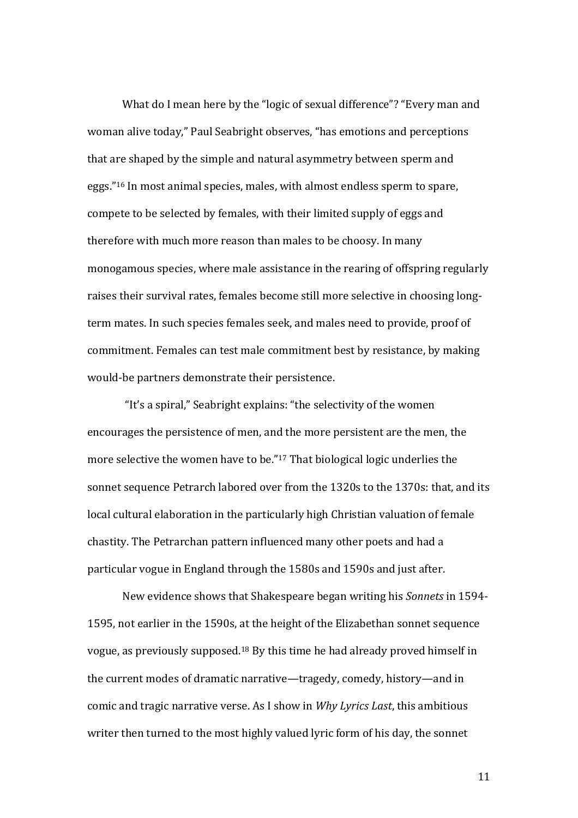What do I mean here by the "logic of sexual difference"? "Every man and woman alive today," Paul Seabright observes, "has emotions and perceptions that are shaped by the simple and natural asymmetry between sperm and eggs."<sup>16</sup> In most animal species, males, with almost endless sperm to spare, compete to be selected by females, with their limited supply of eggs and therefore with much more reason than males to be choosy. In many monogamous species, where male assistance in the rearing of offspring regularly raises their survival rates, females become still more selective in choosing longterm mates. In such species females seek, and males need to provide, proof of commitment. Females can test male commitment best by resistance, by making would-be partners demonstrate their persistence.

"It's a spiral," Seabright explains: "the selectivity of the women encourages the persistence of men, and the more persistent are the men, the more selective the women have to be." $17$  That biological logic underlies the sonnet sequence Petrarch labored over from the 1320s to the 1370s: that, and its local cultural elaboration in the particularly high Christian valuation of female chastity. The Petrarchan pattern influenced many other poets and had a particular vogue in England through the 1580s and 1590s and just after.

New evidence shows that Shakespeare began writing his *Sonnets* in 1594-1595, not earlier in the 1590s, at the height of the Elizabethan sonnet sequence vogue, as previously supposed.<sup>18</sup> By this time he had already proved himself in the current modes of dramatic narrative—tragedy, comedy, history—and in comic and tragic narrative verse. As I show in *Why Lyrics Last*, this ambitious writer then turned to the most highly valued lyric form of his day, the sonnet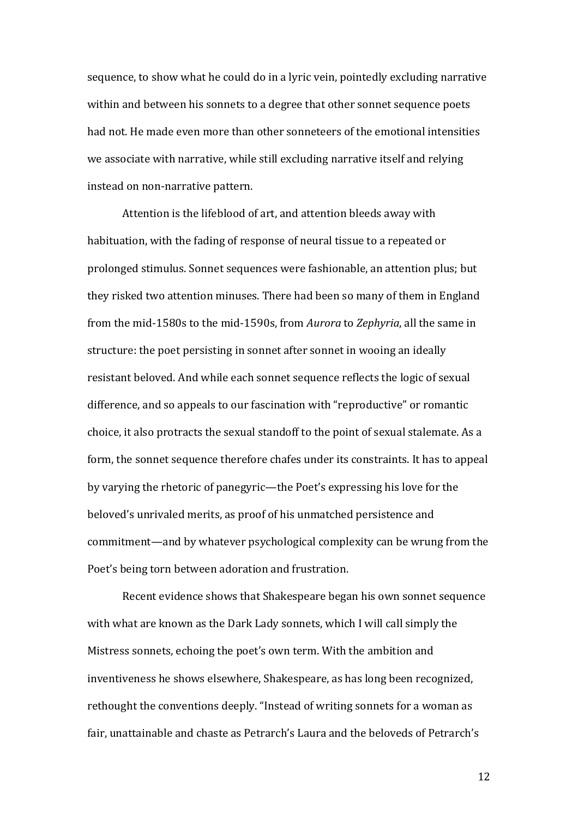sequence, to show what he could do in a lyric vein, pointedly excluding narrative within and between his sonnets to a degree that other sonnet sequence poets had not. He made even more than other sonneteers of the emotional intensities we associate with narrative, while still excluding narrative itself and relying instead on non-narrative pattern.

Attention is the lifeblood of art, and attention bleeds away with habituation, with the fading of response of neural tissue to a repeated or prolonged stimulus. Sonnet sequences were fashionable, an attention plus; but they risked two attention minuses. There had been so many of them in England from the mid-1580s to the mid-1590s, from *Aurora* to *Zephyria*, all the same in structure: the poet persisting in sonnet after sonnet in wooing an ideally resistant beloved. And while each sonnet sequence reflects the logic of sexual difference, and so appeals to our fascination with "reproductive" or romantic choice, it also protracts the sexual standoff to the point of sexual stalemate. As a form, the sonnet sequence therefore chafes under its constraints. It has to appeal by varying the rhetoric of panegyric—the Poet's expressing his love for the beloved's unrivaled merits, as proof of his unmatched persistence and commitment—and by whatever psychological complexity can be wrung from the Poet's being torn between adoration and frustration.

Recent evidence shows that Shakespeare began his own sonnet sequence with what are known as the Dark Lady sonnets, which I will call simply the Mistress sonnets, echoing the poet's own term. With the ambition and inventiveness he shows elsewhere, Shakespeare, as has long been recognized, rethought the conventions deeply. "Instead of writing sonnets for a woman as fair, unattainable and chaste as Petrarch's Laura and the beloveds of Petrarch's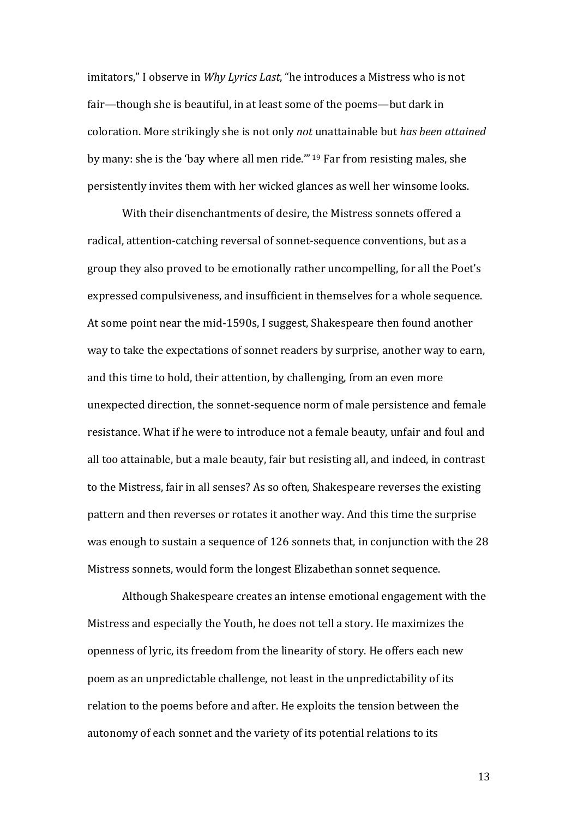imitators," I observe in *Why Lyrics Last*, "he introduces a Mistress who is not fair—though she is beautiful, in at least some of the poems—but dark in coloration. More strikingly she is not only *not* unattainable but *has been attained* by many: she is the 'bay where all men ride.'" <sup>19</sup> Far from resisting males, she persistently invites them with her wicked glances as well her winsome looks.

With their disenchantments of desire, the Mistress sonnets offered a radical, attention-catching reversal of sonnet-sequence conventions, but as a group they also proved to be emotionally rather uncompelling, for all the Poet's expressed compulsiveness, and insufficient in themselves for a whole sequence. At some point near the mid-1590s, I suggest, Shakespeare then found another way to take the expectations of sonnet readers by surprise, another way to earn, and this time to hold, their attention, by challenging, from an even more unexpected direction, the sonnet-sequence norm of male persistence and female resistance. What if he were to introduce not a female beauty, unfair and foul and all too attainable, but a male beauty, fair but resisting all, and indeed, in contrast to the Mistress, fair in all senses? As so often, Shakespeare reverses the existing pattern and then reverses or rotates it another way. And this time the surprise was enough to sustain a sequence of 126 sonnets that, in conjunction with the 28 Mistress sonnets, would form the longest Elizabethan sonnet sequence.

Although Shakespeare creates an intense emotional engagement with the Mistress and especially the Youth, he does not tell a story. He maximizes the openness of lyric, its freedom from the linearity of story. He offers each new poem as an unpredictable challenge, not least in the unpredictability of its relation to the poems before and after. He exploits the tension between the autonomy of each sonnet and the variety of its potential relations to its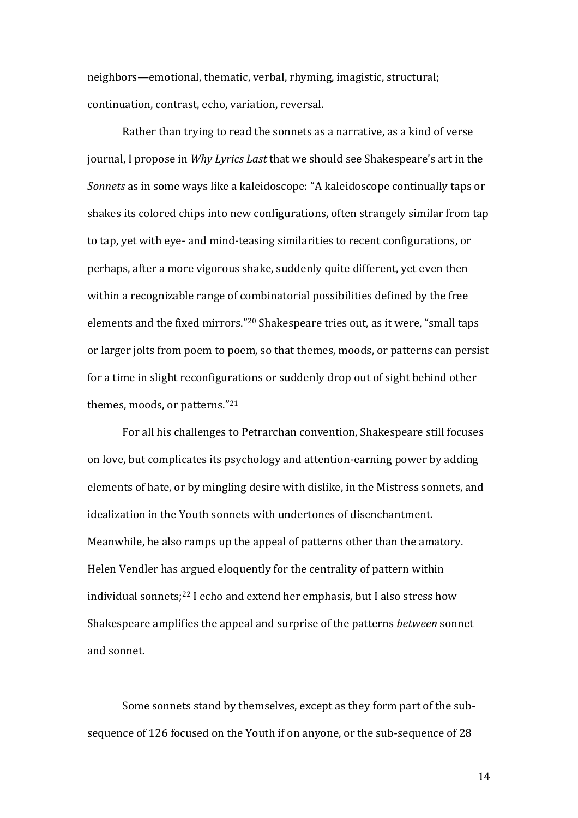neighbors—emotional, thematic, verbal, rhyming, imagistic, structural; continuation, contrast, echo, variation, reversal.

Rather than trying to read the sonnets as a narrative, as a kind of verse journal, I propose in *Why Lyrics Last* that we should see Shakespeare's art in the *Sonnets* as in some ways like a kaleidoscope: "A kaleidoscope continually taps or shakes its colored chips into new configurations, often strangely similar from tap to tap, yet with eye- and mind-teasing similarities to recent configurations, or perhaps, after a more vigorous shake, suddenly quite different, yet even then within a recognizable range of combinatorial possibilities defined by the free elements and the fixed mirrors."<sup>20</sup> Shakespeare tries out, as it were, "small taps or larger jolts from poem to poem, so that themes, moods, or patterns can persist for a time in slight reconfigurations or suddenly drop out of sight behind other themes, moods, or patterns."<sup>21</sup>

For all his challenges to Petrarchan convention, Shakespeare still focuses on love, but complicates its psychology and attention-earning power by adding elements of hate, or by mingling desire with dislike, in the Mistress sonnets, and idealization in the Youth sonnets with undertones of disenchantment. Meanwhile, he also ramps up the appeal of patterns other than the amatory. Helen Vendler has argued eloquently for the centrality of pattern within individual sonnets;<sup>22</sup> I echo and extend her emphasis, but I also stress how Shakespeare amplifies the appeal and surprise of the patterns *between* sonnet and sonnet.

Some sonnets stand by themselves, except as they form part of the subsequence of 126 focused on the Youth if on anyone, or the sub-sequence of 28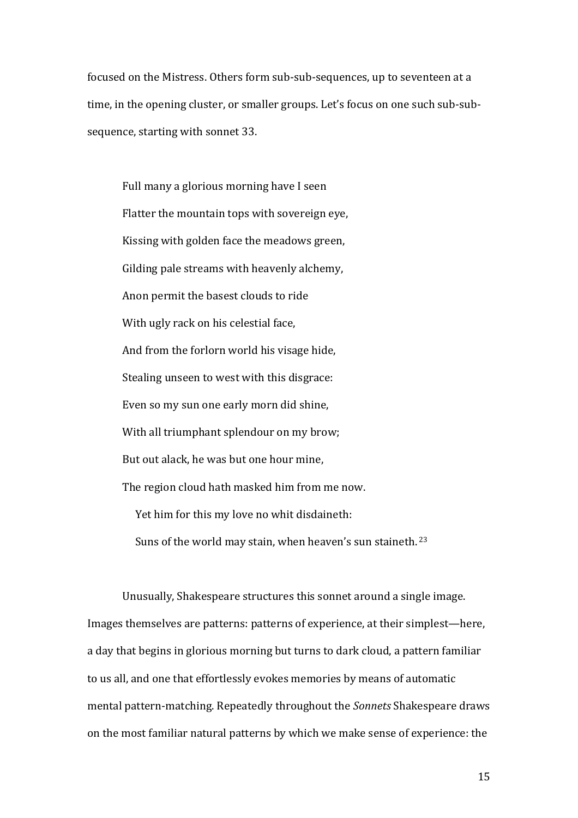focused on the Mistress. Others form sub-sub-sequences, up to seventeen at a time, in the opening cluster, or smaller groups. Let's focus on one such sub-subsequence, starting with sonnet 33.

Full many a glorious morning have I seen Flatter the mountain tops with sovereign eye, Kissing with golden face the meadows green, Gilding pale streams with heavenly alchemy, Anon permit the basest clouds to ride With ugly rack on his celestial face, And from the forlorn world his visage hide, Stealing unseen to west with this disgrace: Even so my sun one early morn did shine, With all triumphant splendour on my brow; But out alack, he was but one hour mine. The region cloud hath masked him from me now. Yet him for this my love no whit disdaineth: Suns of the world may stain, when heaven's sun staineth.  $23$ 

Unusually, Shakespeare structures this sonnet around a single image. Images themselves are patterns: patterns of experience, at their simplest—here, a day that begins in glorious morning but turns to dark cloud, a pattern familiar to us all, and one that effortlessly evokes memories by means of automatic mental pattern-matching. Repeatedly throughout the *Sonnets* Shakespeare draws on the most familiar natural patterns by which we make sense of experience: the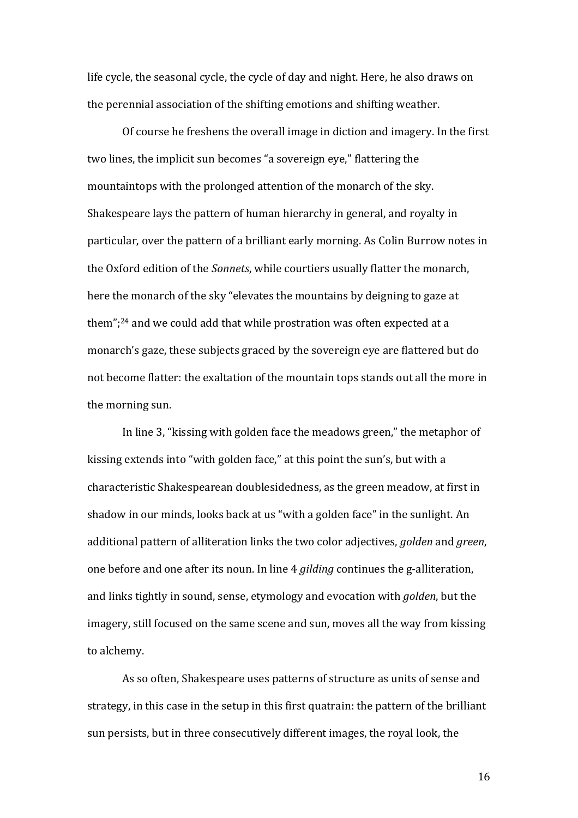life cycle, the seasonal cycle, the cycle of day and night. Here, he also draws on the perennial association of the shifting emotions and shifting weather.

Of course he freshens the overall image in diction and imagery. In the first two lines, the implicit sun becomes "a sovereign eye," flattering the mountaintops with the prolonged attention of the monarch of the sky. Shakespeare lays the pattern of human hierarchy in general, and royalty in particular, over the pattern of a brilliant early morning. As Colin Burrow notes in the Oxford edition of the *Sonnets*, while courtiers usually flatter the monarch, here the monarch of the sky "elevates the mountains by deigning to gaze at them";<sup>24</sup> and we could add that while prostration was often expected at a monarch's gaze, these subjects graced by the sovereign eye are flattered but do not become flatter: the exaltation of the mountain tops stands out all the more in the morning sun.

In line 3, "kissing with golden face the meadows green," the metaphor of kissing extends into "with golden face," at this point the sun's, but with a characteristic Shakespearean doublesidedness, as the green meadow, at first in shadow in our minds, looks back at us "with a golden face" in the sunlight. An additional pattern of alliteration links the two color adjectives, *golden* and *green*, one before and one after its noun. In line 4 *gilding* continues the g-alliteration, and links tightly in sound, sense, etymology and evocation with *golden*, but the imagery, still focused on the same scene and sun, moves all the way from kissing to alchemy.

As so often, Shakespeare uses patterns of structure as units of sense and strategy, in this case in the setup in this first quatrain: the pattern of the brilliant sun persists, but in three consecutively different images, the royal look, the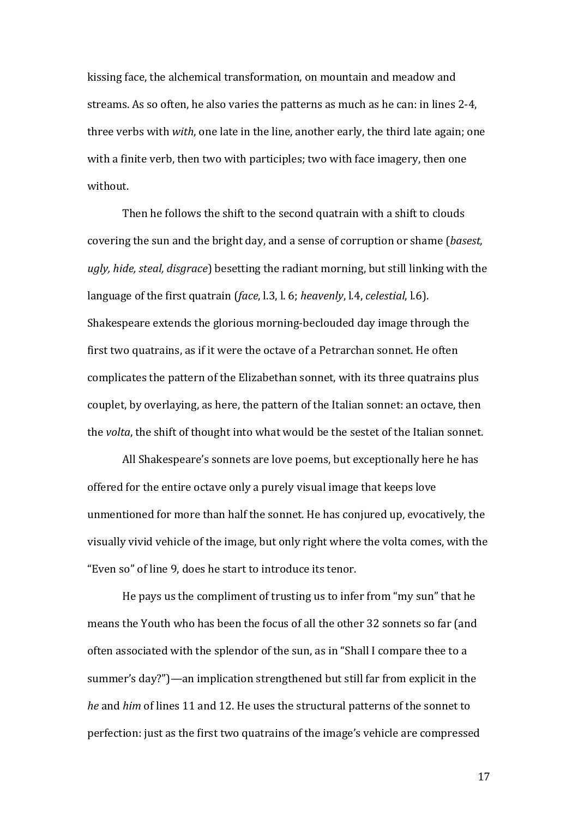kissing face, the alchemical transformation, on mountain and meadow and streams. As so often, he also varies the patterns as much as he can: in lines 2-4, three verbs with *with*, one late in the line, another early, the third late again; one with a finite verb, then two with participles; two with face imagery, then one without.

Then he follows the shift to the second quatrain with a shift to clouds covering the sun and the bright day, and a sense of corruption or shame (*basest*, ugly, hide, steal, disgrace) besetting the radiant morning, but still linking with the language of the first quatrain (*face*, l.3, l. 6; *heavenly*, l.4, *celestial*, l.6). Shakespeare extends the glorious morning-beclouded day image through the first two quatrains, as if it were the octave of a Petrarchan sonnet. He often complicates the pattern of the Elizabethan sonnet, with its three quatrains plus couplet, by overlaying, as here, the pattern of the Italian sonnet: an octave, then the *volta*, the shift of thought into what would be the sestet of the Italian sonnet.

All Shakespeare's sonnets are love poems, but exceptionally here he has offered for the entire octave only a purely visual image that keeps love unmentioned for more than half the sonnet. He has conjured up, evocatively, the visually vivid vehicle of the image, but only right where the volta comes, with the "Even so" of line 9, does he start to introduce its tenor.

He pays us the compliment of trusting us to infer from "my sun" that he means the Youth who has been the focus of all the other 32 sonnets so far (and often associated with the splendor of the sun, as in "Shall I compare thee to a summer's day?")—an implication strengthened but still far from explicit in the *he* and *him* of lines 11 and 12. He uses the structural patterns of the sonnet to perfection: just as the first two quatrains of the image's vehicle are compressed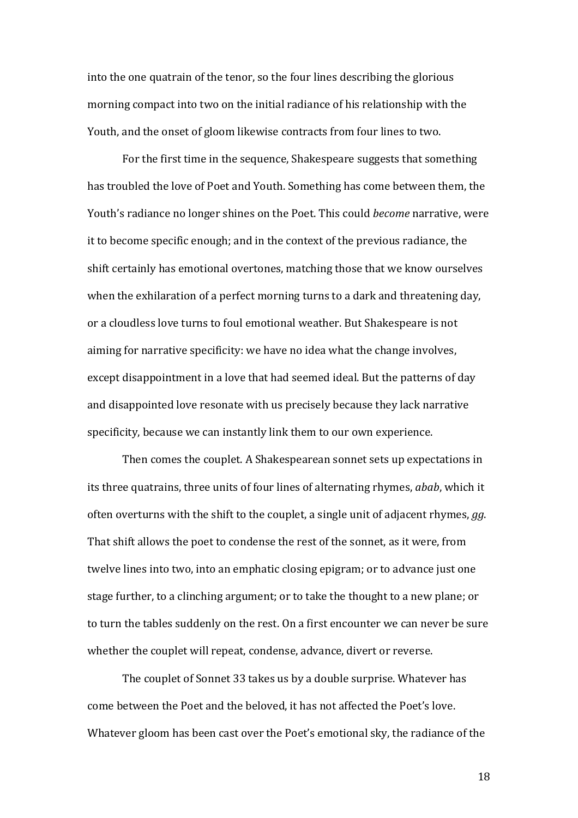into the one quatrain of the tenor, so the four lines describing the glorious morning compact into two on the initial radiance of his relationship with the Youth, and the onset of gloom likewise contracts from four lines to two.

For the first time in the sequence, Shakespeare suggests that something has troubled the love of Poet and Youth. Something has come between them, the Youth's radiance no longer shines on the Poet. This could *become* narrative, were it to become specific enough; and in the context of the previous radiance, the shift certainly has emotional overtones, matching those that we know ourselves when the exhilaration of a perfect morning turns to a dark and threatening day, or a cloudless love turns to foul emotional weather. But Shakespeare is not aiming for narrative specificity: we have no idea what the change involves, except disappointment in a love that had seemed ideal. But the patterns of day and disappointed love resonate with us precisely because they lack narrative specificity, because we can instantly link them to our own experience.

Then comes the couplet. A Shakespearean sonnet sets up expectations in its three quatrains, three units of four lines of alternating rhymes, *abab*, which it often overturns with the shift to the couplet, a single unit of adjacent rhymes, *gg*. That shift allows the poet to condense the rest of the sonnet, as it were, from twelve lines into two, into an emphatic closing epigram; or to advance just one stage further, to a clinching argument; or to take the thought to a new plane; or to turn the tables suddenly on the rest. On a first encounter we can never be sure whether the couplet will repeat, condense, advance, divert or reverse.

The couplet of Sonnet 33 takes us by a double surprise. Whatever has come between the Poet and the beloved, it has not affected the Poet's love. Whatever gloom has been cast over the Poet's emotional sky, the radiance of the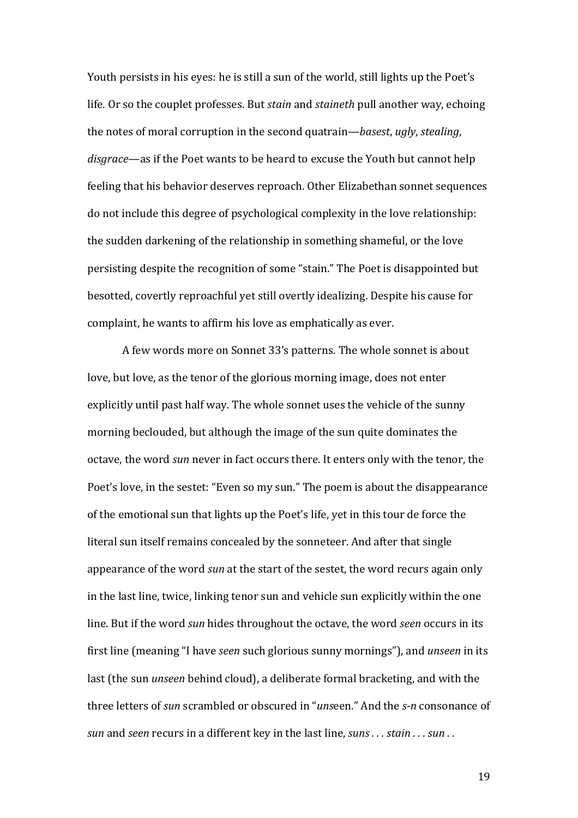Youth persists in his eyes: he is still a sun of the world, still lights up the Poet's life. Or so the couplet professes. But *stain* and *staineth* pull another way, echoing the notes of moral corruption in the second quatrain—*basest*, *ugly*, *stealing*, *disgrace*—as if the Poet wants to be heard to excuse the Youth but cannot help feeling that his behavior deserves reproach. Other Elizabethan sonnet sequences do not include this degree of psychological complexity in the love relationship: the sudden darkening of the relationship in something shameful, or the love persisting despite the recognition of some "stain." The Poet is disappointed but besotted, covertly reproachful yet still overtly idealizing. Despite his cause for complaint, he wants to affirm his love as emphatically as ever.

A few words more on Sonnet 33's patterns. The whole sonnet is about love, but love, as the tenor of the glorious morning image, does not enter explicitly until past half way. The whole sonnet uses the vehicle of the sunny morning beclouded, but although the image of the sun quite dominates the octave, the word *sun* never in fact occurs there. It enters only with the tenor, the Poet's love, in the sestet: "Even so my sun." The poem is about the disappearance of the emotional sun that lights up the Poet's life, yet in this tour de force the literal sun itself remains concealed by the sonneteer. And after that single appearance of the word *sun* at the start of the sestet, the word recurs again only in the last line, twice, linking tenor sun and vehicle sun explicitly within the one line. But if the word *sun* hides throughout the octave, the word *seen* occurs in its first line (meaning "I have *seen* such glorious sunny mornings"), and *unseen* in its last (the sun *unseen* behind cloud), a deliberate formal bracketing, and with the three letters of *sun* scrambled or obscured in "*unseen.*" And the *s-n* consonance of *sun* and *seen* recurs in a different key in the last line, *suns* . . . *stain* . . . *sun* . .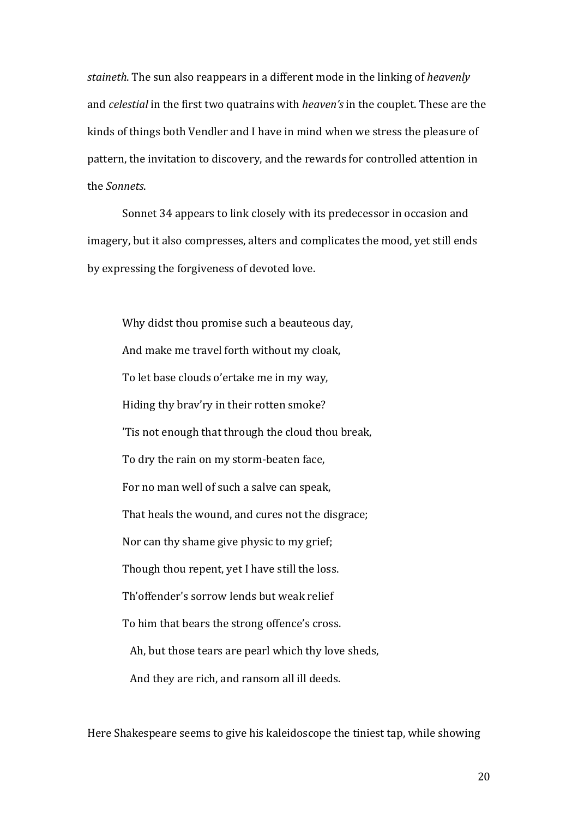*staineth*. The sun also reappears in a different mode in the linking of *heavenly* and *celestial* in the first two quatrains with *heaven's* in the couplet. These are the kinds of things both Vendler and I have in mind when we stress the pleasure of pattern, the invitation to discovery, and the rewards for controlled attention in the *Sonnets*.

Sonnet 34 appears to link closely with its predecessor in occasion and imagery, but it also compresses, alters and complicates the mood, yet still ends by expressing the forgiveness of devoted love.

Why didst thou promise such a beauteous day, And make me travel forth without my cloak, To let base clouds o'ertake me in my way, Hiding thy brav'ry in their rotten smoke? 'Tis not enough that through the cloud thou break, To dry the rain on my storm-beaten face, For no man well of such a salve can speak, That heals the wound, and cures not the disgrace; Nor can thy shame give physic to my grief; Though thou repent, yet I have still the loss. Th'offender's sorrow lends but weak relief To him that bears the strong offence's cross. Ah, but those tears are pearl which thy love sheds, And they are rich, and ransom all ill deeds.

Here Shakespeare seems to give his kaleidoscope the tiniest tap, while showing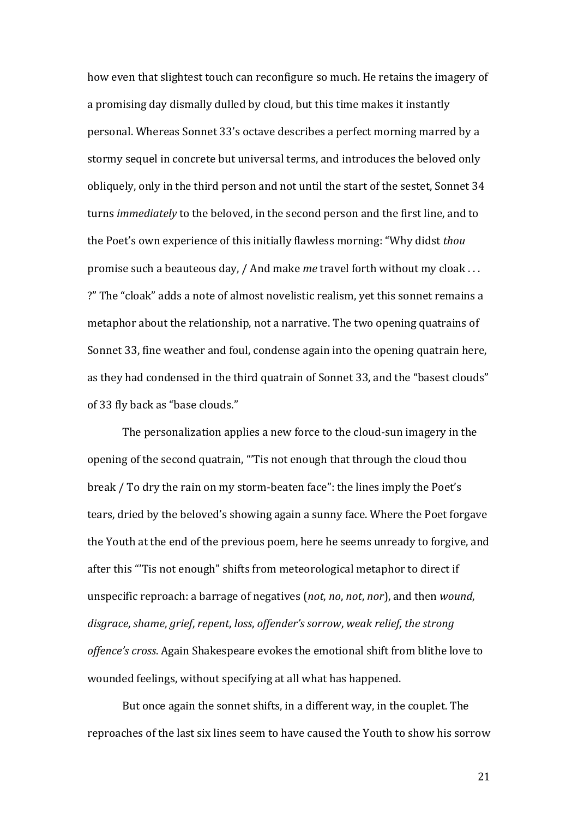how even that slightest touch can reconfigure so much. He retains the imagery of a promising day dismally dulled by cloud, but this time makes it instantly personal. Whereas Sonnet 33's octave describes a perfect morning marred by a stormy sequel in concrete but universal terms, and introduces the beloved only obliquely, only in the third person and not until the start of the sestet, Sonnet 34 turns *immediately* to the beloved, in the second person and the first line, and to the Poet's own experience of this initially flawless morning: "Why didst *thou* promise such a beauteous day, / And make *me* travel forth without my cloak ... ?" The "cloak" adds a note of almost novelistic realism, vet this sonnet remains a metaphor about the relationship, not a narrative. The two opening quatrains of Sonnet 33, fine weather and foul, condense again into the opening quatrain here, as they had condensed in the third quatrain of Sonnet 33, and the "basest clouds" of 33 fly back as "base clouds."

The personalization applies a new force to the cloud-sun imagery in the opening of the second quatrain, "'Tis not enough that through the cloud thou break / To dry the rain on my storm-beaten face": the lines imply the Poet's tears, dried by the beloved's showing again a sunny face. Where the Poet forgave the Youth at the end of the previous poem, here he seems unready to forgive, and after this "Tis not enough" shifts from meteorological metaphor to direct if unspecific reproach: a barrage of negatives (not, no, not, nor), and then *wound*, disgrace, shame, grief, repent, loss, offender's sorrow, weak relief, the strong offence's cross. Again Shakespeare evokes the emotional shift from blithe love to wounded feelings, without specifying at all what has happened.

But once again the sonnet shifts, in a different way, in the couplet. The reproaches of the last six lines seem to have caused the Youth to show his sorrow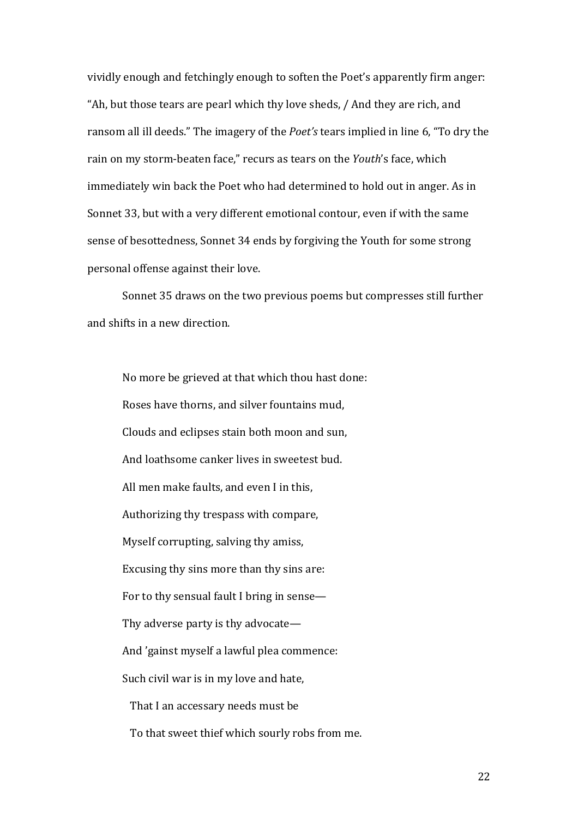vividly enough and fetchingly enough to soften the Poet's apparently firm anger: "Ah, but those tears are pearl which thy love sheds, / And they are rich, and ransom all ill deeds." The imagery of the *Poet's* tears implied in line 6, "To dry the rain on my storm-beaten face," recurs as tears on the *Youth's* face, which immediately win back the Poet who had determined to hold out in anger. As in Sonnet 33, but with a very different emotional contour, even if with the same sense of besottedness, Sonnet 34 ends by forgiving the Youth for some strong personal offense against their love.

Sonnet 35 draws on the two previous poems but compresses still further and shifts in a new direction.

No more be grieved at that which thou hast done: Roses have thorns, and silver fountains mud. Clouds and eclipses stain both moon and sun, And loathsome canker lives in sweetest bud. All men make faults, and even I in this, Authorizing thy trespass with compare, Myself corrupting, salving thy amiss, Excusing thy sins more than thy sins are: For to thy sensual fault I bring in sense-Thy adverse party is thy advocate— And 'gainst myself a lawful plea commence: Such civil war is in my love and hate, That I an accessary needs must be To that sweet thief which sourly robs from me.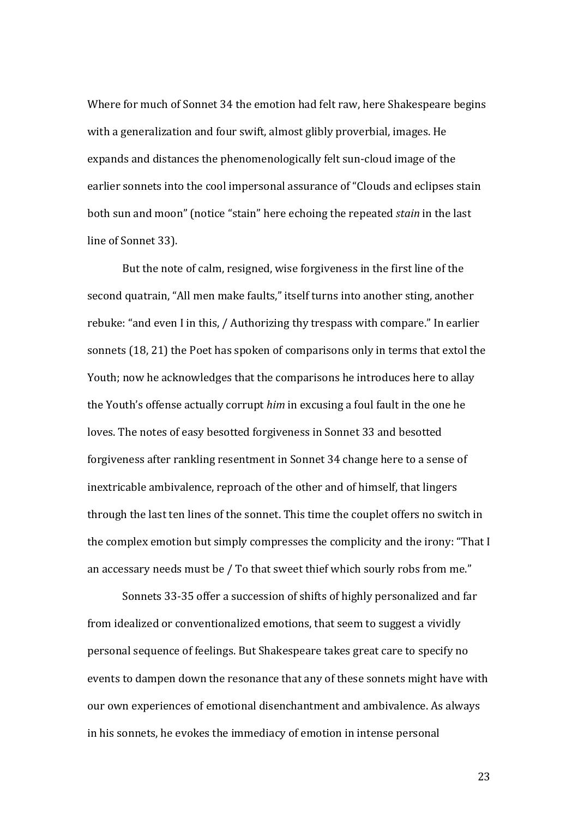Where for much of Sonnet 34 the emotion had felt raw, here Shakespeare begins with a generalization and four swift, almost glibly proverbial, images. He expands and distances the phenomenologically felt sun-cloud image of the earlier sonnets into the cool impersonal assurance of "Clouds and eclipses stain both sun and moon" (notice "stain" here echoing the repeated *stain* in the last line of Sonnet 33).

But the note of calm, resigned, wise forgiveness in the first line of the second quatrain, "All men make faults," itself turns into another sting, another rebuke: "and even I in this, / Authorizing thy trespass with compare." In earlier sonnets (18, 21) the Poet has spoken of comparisons only in terms that extol the Youth; now he acknowledges that the comparisons he introduces here to allay the Youth's offense actually corrupt *him* in excusing a foul fault in the one he loves. The notes of easy besotted forgiveness in Sonnet 33 and besotted forgiveness after rankling resentment in Sonnet 34 change here to a sense of inextricable ambivalence, reproach of the other and of himself, that lingers through the last ten lines of the sonnet. This time the couplet offers no switch in the complex emotion but simply compresses the complicity and the irony: "That I an accessary needs must be / To that sweet thief which sourly robs from me."

Sonnets 33-35 offer a succession of shifts of highly personalized and far from idealized or conventionalized emotions, that seem to suggest a vividly personal sequence of feelings. But Shakespeare takes great care to specify no events to dampen down the resonance that any of these sonnets might have with our own experiences of emotional disenchantment and ambivalence. As always in his sonnets, he evokes the immediacy of emotion in intense personal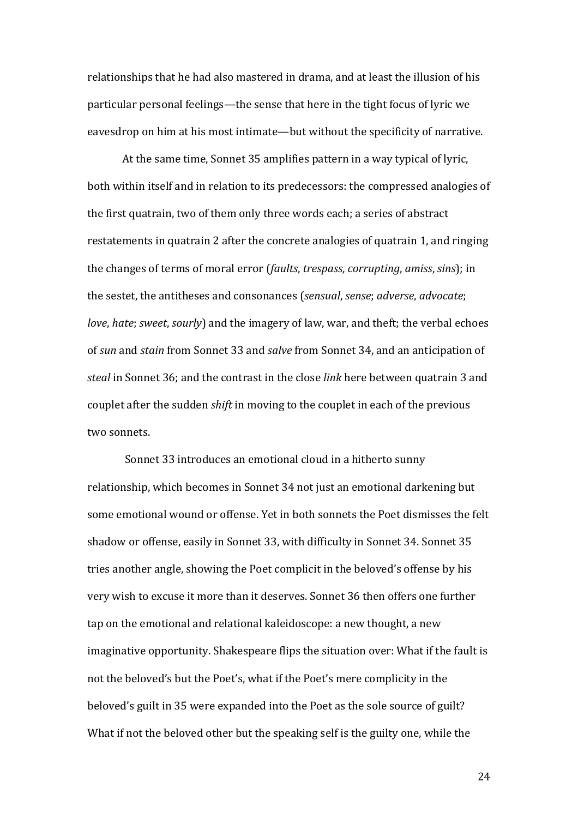relationships that he had also mastered in drama, and at least the illusion of his particular personal feelings—the sense that here in the tight focus of lyric we eavesdrop on him at his most intimate—but without the specificity of narrative.

At the same time, Sonnet 35 amplifies pattern in a way typical of lyric, both within itself and in relation to its predecessors: the compressed analogies of the first quatrain, two of them only three words each; a series of abstract restatements in quatrain 2 after the concrete analogies of quatrain 1, and ringing the changes of terms of moral error (*faults, trespass, corrupting, amiss, sins*); in the sestet, the antitheses and consonances (*sensual, sense; adverse, advocate; love*, *hate*; *sweet*, *sourly*) and the imagery of law, war, and theft; the verbal echoes of sun and *stain* from Sonnet 33 and *salve* from Sonnet 34, and an anticipation of *steal* in Sonnet 36; and the contrast in the close *link* here between quatrain 3 and couplet after the sudden *shift* in moving to the couplet in each of the previous two sonnets.

Sonnet 33 introduces an emotional cloud in a hitherto sunny relationship, which becomes in Sonnet 34 not just an emotional darkening but some emotional wound or offense. Yet in both sonnets the Poet dismisses the felt shadow or offense, easily in Sonnet 33, with difficulty in Sonnet 34. Sonnet 35 tries another angle, showing the Poet complicit in the beloved's offense by his very wish to excuse it more than it deserves. Sonnet 36 then offers one further tap on the emotional and relational kaleidoscope: a new thought, a new imaginative opportunity. Shakespeare flips the situation over: What if the fault is not the beloved's but the Poet's, what if the Poet's mere complicity in the beloved's guilt in 35 were expanded into the Poet as the sole source of guilt? What if not the beloved other but the speaking self is the guilty one, while the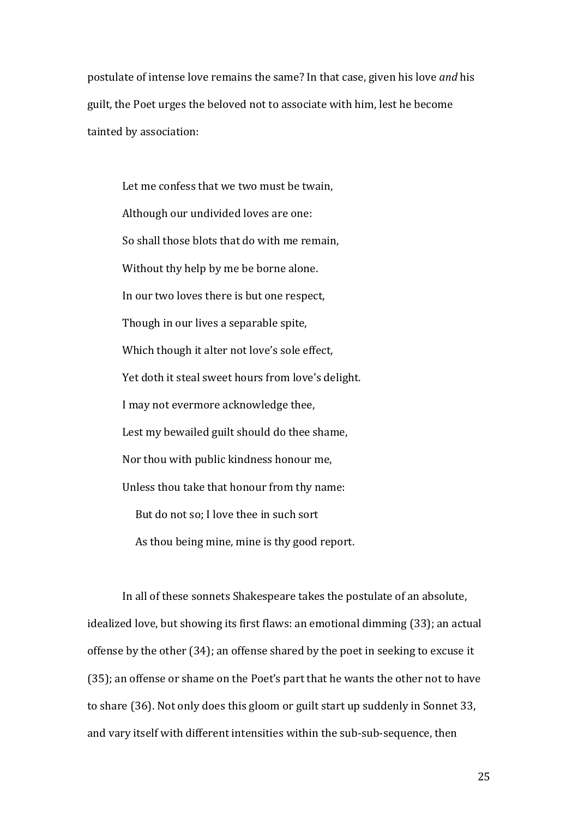postulate of intense love remains the same? In that case, given his love *and* his guilt, the Poet urges the beloved not to associate with him, lest he become tainted by association:

Let me confess that we two must be twain, Although our undivided loves are one: So shall those blots that do with me remain, Without thy help by me be borne alone. In our two loves there is but one respect, Though in our lives a separable spite, Which though it alter not love's sole effect, Yet doth it steal sweet hours from love's delight. I may not evermore acknowledge thee, Lest my bewailed guilt should do thee shame, Nor thou with public kindness honour me, Unless thou take that honour from thy name: But do not so; I love thee in such sort As thou being mine, mine is thy good report.

In all of these sonnets Shakespeare takes the postulate of an absolute, idealized love, but showing its first flaws: an emotional dimming (33); an actual offense by the other (34); an offense shared by the poet in seeking to excuse it (35); an offense or shame on the Poet's part that he wants the other not to have to share (36). Not only does this gloom or guilt start up suddenly in Sonnet 33, and vary itself with different intensities within the sub-sub-sequence, then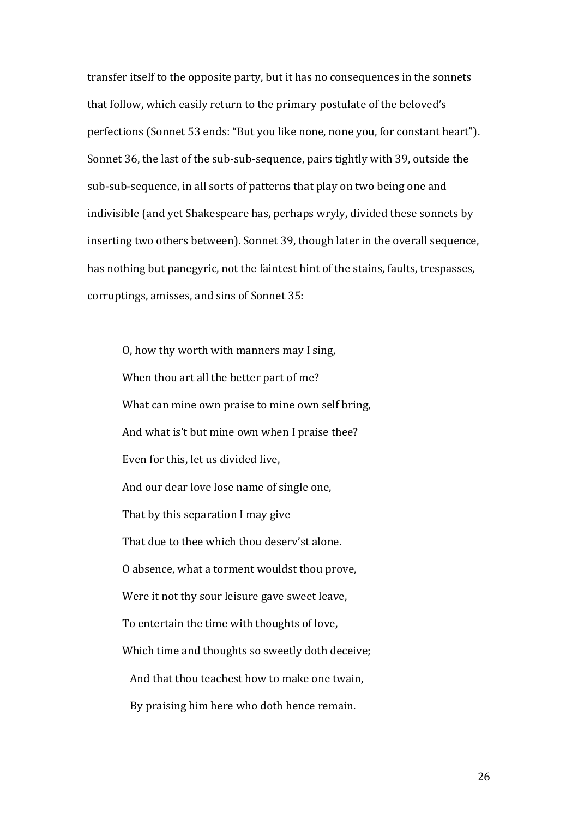transfer itself to the opposite party, but it has no consequences in the sonnets that follow, which easily return to the primary postulate of the beloved's perfections (Sonnet 53 ends: "But you like none, none you, for constant heart"). Sonnet 36, the last of the sub-sub-sequence, pairs tightly with 39, outside the sub-sub-sequence, in all sorts of patterns that play on two being one and indivisible (and yet Shakespeare has, perhaps wryly, divided these sonnets by inserting two others between). Sonnet 39, though later in the overall sequence, has nothing but panegyric, not the faintest hint of the stains, faults, trespasses, corruptings, amisses, and sins of Sonnet 35:

O, how thy worth with manners may I sing, When thou art all the better part of me? What can mine own praise to mine own self bring, And what is't but mine own when I praise thee? Even for this, let us divided live. And our dear love lose name of single one, That by this separation I may give That due to thee which thou desery'st alone. O absence, what a torment wouldst thou prove, Were it not thy sour leisure gave sweet leave, To entertain the time with thoughts of love, Which time and thoughts so sweetly doth deceive; And that thou teachest how to make one twain. By praising him here who doth hence remain.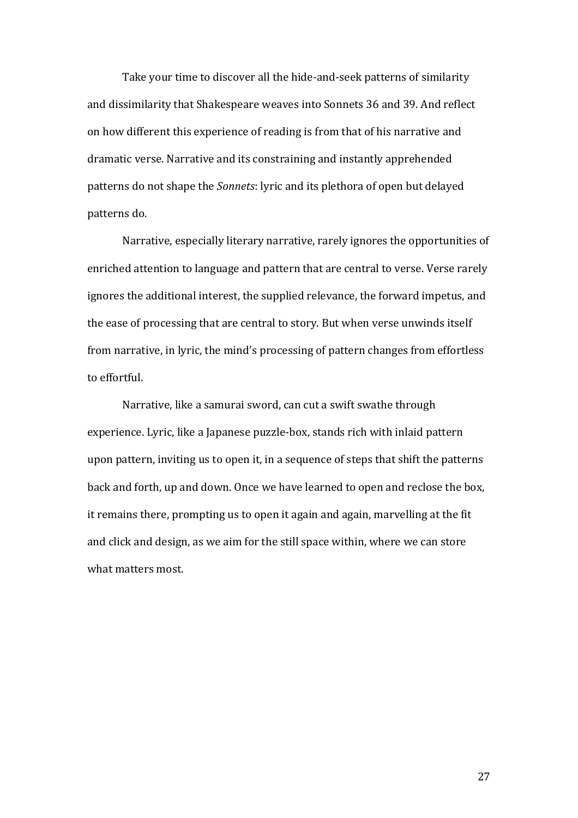Take your time to discover all the hide-and-seek patterns of similarity and dissimilarity that Shakespeare weaves into Sonnets 36 and 39. And reflect on how different this experience of reading is from that of his narrative and dramatic verse. Narrative and its constraining and instantly apprehended patterns do not shape the *Sonnets*: lyric and its plethora of open but delayed patterns do.

Narrative, especially literary narrative, rarely ignores the opportunities of enriched attention to language and pattern that are central to verse. Verse rarely ignores the additional interest, the supplied relevance, the forward impetus, and the ease of processing that are central to story. But when verse unwinds itself from narrative, in lyric, the mind's processing of pattern changes from effortless to effortful.

Narrative, like a samurai sword, can cut a swift swathe through experience. Lyric, like a Japanese puzzle-box, stands rich with inlaid pattern upon pattern, inviting us to open it, in a sequence of steps that shift the patterns back and forth, up and down. Once we have learned to open and reclose the box, it remains there, prompting us to open it again and again, marvelling at the fit and click and design, as we aim for the still space within, where we can store what matters most.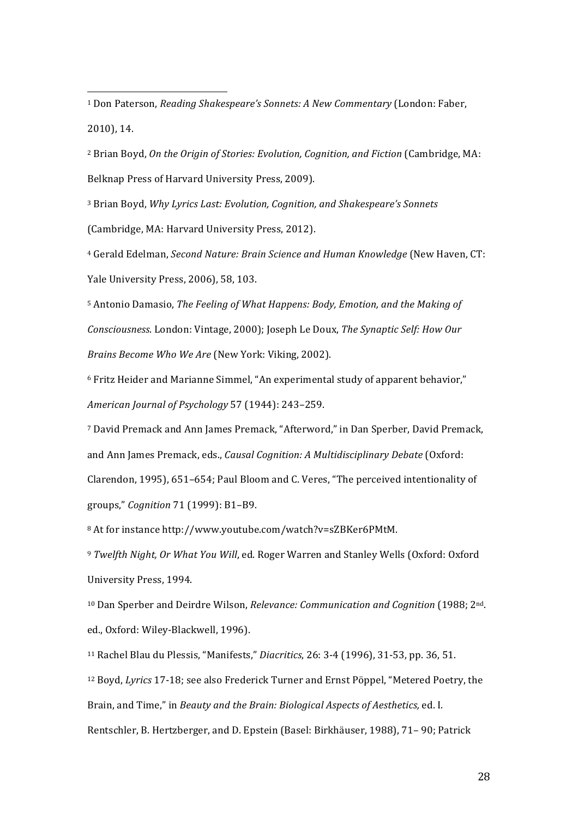<sup>1</sup> Don Paterson, *Reading Shakespeare's Sonnets: A New Commentary* (London: Faber, 2010), 14.

 

<sup>2</sup> Brian Boyd, *On the Origin of Stories: Evolution, Cognition, and Fiction* (Cambridge, MA: Belknap Press of Harvard University Press, 2009).

<sup>3</sup> Brian Boyd, *Why Lyrics Last: Evolution, Cognition, and Shakespeare's Sonnets* (Cambridge, MA: Harvard University Press, 2012).

<sup>4</sup> Gerald Edelman, *Second Nature: Brain Science and Human Knowledge* (New Haven, CT: Yale University Press, 2006), 58, 103.

<sup>5</sup> Antonio Damasio, *The Feeling of What Happens: Body, Emotion, and the Making of Consciousness.* London: Vintage, 2000); Joseph Le Doux, *The Synaptic Self: How Our Brains Become Who We Are* (New York: Viking, 2002).

<sup>6</sup> Fritz Heider and Marianne Simmel, "An experimental study of apparent behavior," *American Journal of Psychology* 57 (1944): 243–259.

<sup>7</sup> David Premack and Ann James Premack, "Afterword," in Dan Sperber, David Premack, and Ann James Premack, eds., *Causal Cognition: A Multidisciplinary Debate* (Oxford: Clarendon, 1995), 651–654; Paul Bloom and C. Veres, "The perceived intentionality of groups," *Cognition* 71 (1999): B1–B9.

8 At for instance http://www.youtube.com/watch?v=sZBKer6PMtM.

<sup>9</sup> Twelfth Night, Or What You Will, ed. Roger Warren and Stanley Wells (Oxford: Oxford University Press, 1994.

<sup>10</sup> Dan Sperber and Deirdre Wilson, *Relevance: Communication and Cognition* (1988; 2<sup>nd</sup>. ed., Oxford: Wiley-Blackwell, 1996).

<sup>11</sup> Rachel Blau du Plessis, "Manifests," *Diacritics*, 26: 3-4 (1996), 31-53, pp. 36, 51.

<sup>12</sup> Boyd, *Lyrics* 17-18; see also Frederick Turner and Ernst Pöppel, "Metered Poetry, the Brain, and Time," in *Beauty and the Brain: Biological Aspects of Aesthetics, ed. I.* 

Rentschler, B. Hertzberger, and D. Epstein (Basel: Birkhäuser, 1988), 71– 90; Patrick